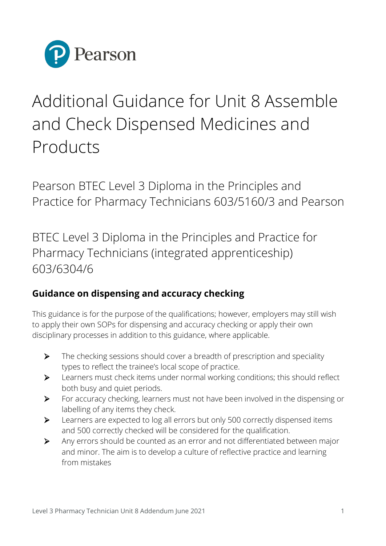

## Additional Guidance for Unit 8 Assemble and Check Dispensed Medicines and Products

Pearson BTEC Level 3 Diploma in the Principles and Practice for Pharmacy Technicians 603/5160/3 and Pearson

BTEC Level 3 Diploma in the Principles and Practice for Pharmacy Technicians (integrated apprenticeship) 603/6304/6

## **Guidance on dispensing and accuracy checking**

This guidance is for the purpose of the qualifications; however, employers may still wish to apply their own SOPs for dispensing and accuracy checking or apply their own disciplinary processes in addition to this guidance, where applicable.

- $\triangleright$  The checking sessions should cover a breadth of prescription and speciality types to reflect the trainee's local scope of practice.
- Learners must check items under normal working conditions; this should reflect both busy and quiet periods.
- For accuracy checking, learners must not have been involved in the dispensing or labelling of any items they check.
- Experience 200 Learners are expected to log all errors but only 500 correctly dispensed items and 500 correctly checked will be considered for the qualification.
- Any errors should be counted as an error and not differentiated between major and minor. The aim is to develop a culture of reflective practice and learning from mistakes